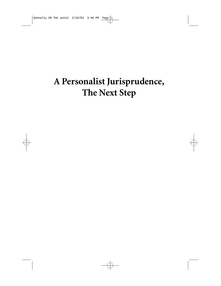# A Personalist Jurisprudence, The Next Step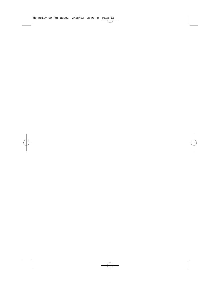donnelly 00 fmt auto2  $2/18/03$  3:46 PM  $\frac{Page}{}\$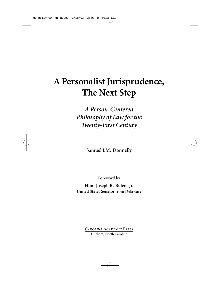# **A Personalist Jurisprudence, The Next Step**

*A Person-Centered Philosophy of Law for the Twenty-First Century*

**Samuel J.M. Donnelly**

**Foreword by**

**Hon. Joseph R. Biden, Jr. United States Senator from Delaware**

> Carolina Academic Press Durham, North Carolina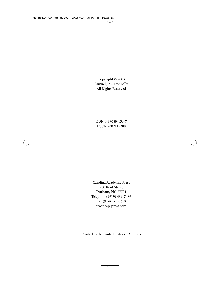Copyright © 2003 Samuel J.M. Donnelly All Rights Reserved

ISBN 0-89089-156-7 LCCN 2002117308

Carolina Academic Press 700 Kent Street Durham, NC 27701 Telephone (919) 489-7486 Fax (919) 493-5668 www.cap-press.com

Printed in the United States of America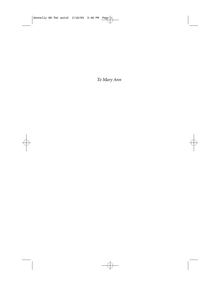To Mary Ann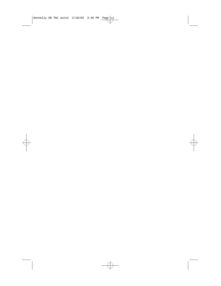donnelly 00 fmt auto2  $2/18/03$  3:46 PM Page vi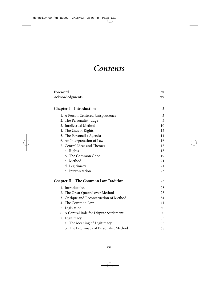# *Contents*

| Foreword                                 | ΧI |
|------------------------------------------|----|
| Acknowledgments                          | XV |
| Chapter I Introduction                   | 3  |
|                                          |    |
| 1. A Person Centered Jurisprudence       | 3  |
| 2. The Personalist Judge                 | 5  |
| 3. Intellectual Method                   | 10 |
| 4. The Uses of Rights                    | 13 |
| 5. The Personalist Agenda                | 14 |
| 6. An Interpretation of Law              | 16 |
| 7. Central Ideas and Themes              | 18 |
| a. Rights                                | 18 |
| b. The Common Good                       | 19 |
| c. Method                                | 21 |
| d. Legitimacy                            | 21 |
| e. Interpretation                        | 23 |
| The Common Law Tradition<br>Chapter II   | 25 |
| 1. Introduction                          | 25 |
| 2. The Great Quarrel over Method         | 28 |
| 3. Critique and Reconstruction of Method | 34 |
| 4. The Common Law                        | 41 |
| 5. Legislation                           | 50 |
| 6. A Central Role for Dispute Settlement | 60 |
| 7. Legitimacy                            | 65 |
| a. The Meaning of Legitimacy             | 65 |
| b. The Legitimacy of Personalist Method  | 68 |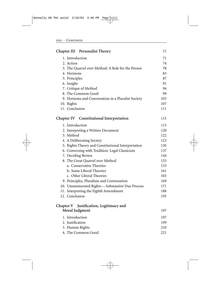### $viii$   $\cdot$  Contents

| Chapter III Personalist Theory                      | 71  |
|-----------------------------------------------------|-----|
| 1. Introduction                                     | 71  |
| 2. Action                                           | 74  |
| 3. The Quarrel over Method: A Role for the Person   | 78  |
| 4. Horizons                                         | 83  |
| 5. Principles                                       | 87  |
| 6. Insight                                          | 91  |
| 7. Critique of Method                               | 94  |
| 8. The Common Good                                  | 99  |
| 9. Horizons and Conversation in a Pluralist Society | 103 |
| 10. Rights                                          | 107 |
| 11. Conclusion                                      | 111 |
| Chapter IV Constitutional Interpretation            | 115 |
| 1. Introduction                                     | 115 |
| 2. Interpreting a Written Document                  | 120 |
| 3. Method                                           | 122 |
| 4. A Deliberating Society                           | 123 |
| 5. Rights Theory and Constitutional Interpretation  | 130 |
| 6. Conversing with Tradition: Legal Classicism      | 137 |
| 7. Deciding Brown                                   | 144 |
| 8. The Great Quarrel over Method                    | 153 |
| a. Conservative Theories                            | 153 |
| b. Some Liberal Theories                            | 161 |
| c. Other Liberal Theories                           | 165 |
| 9. Principles, Pluralism and Conversation           | 169 |
| 10. Unenumerated Rights-Substantive Due Process     | 171 |
| 11. Interpreting the Eighth Amendment               | 188 |
| 12. Conclusion                                      | 195 |
| Chapter V Justification, Legitimacy and             |     |
| Moral Judgment                                      | 197 |
| 1. Introduction                                     | 197 |
| 2. Justification                                    | 199 |
| 3. Human Rights                                     | 210 |
| 4. The Common Good                                  | 221 |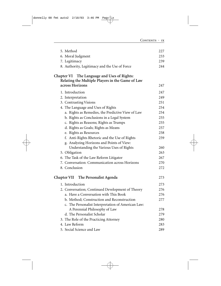|                                                                                                    | $CONTENTS \tcdot IX$ |
|----------------------------------------------------------------------------------------------------|----------------------|
| 5. Method                                                                                          | 227                  |
| 6. Moral Judgment                                                                                  | 233                  |
| 7. Legitimacy                                                                                      | 239                  |
| 8. Authority, Legitimacy and the Use of Force                                                      | 244                  |
| The Language and Uses of Rights:<br>Chapter VI<br>Relating the Multiple Players in the Game of Law |                      |
| across Horizons                                                                                    | 247                  |
| 1. Introduction                                                                                    | 247                  |
| 2. Interpretation                                                                                  | 249                  |
| 3. Contrasting Visions                                                                             | 251                  |
| 4. The Language and Uses of Rights                                                                 | 254                  |
| a. Rights as Remedies, the Predictive View of Law                                                  | 254                  |
| b. Rights as Conclusions in a Legal System                                                         | 255                  |
| c. Rights as Reasons; Rights as Trumps                                                             | 255                  |
| d. Rights as Goals; Rights as Means                                                                | 257                  |
| e. Rights as Resources                                                                             | 258                  |
| f. Anti-Rights Rhetoric and the Use of Rights                                                      | 259                  |
| g. Analyzing Horizons and Points of View:                                                          |                      |
| Understanding the Various Uses of Rights                                                           | 260                  |
| 5. Obligation                                                                                      | 263                  |
| 6. The Task of the Law Reform Litigator                                                            | 267                  |
| 7. Conversation: Communication across Horizons                                                     | 270                  |
| 8. Conclusion                                                                                      | 272                  |
| Chapter VII The Personalist Agenda                                                                 | 273                  |
| 1. Introduction                                                                                    | 273                  |
| 2. Conversation; Continued Development of Theory                                                   | 276                  |
| a. Have a Conversation with This Book                                                              | 276                  |
| b. Method; Construction and Reconstruction                                                         | 277                  |
| c. The Personalist Interpretation of American Law:                                                 |                      |
| A Perennial Philosophy of Law                                                                      | 278                  |
| d. The Personalist Scholar                                                                         | 279                  |
| 3. The Role of the Practicing Attorney                                                             | 280                  |
| 4. Law Reform                                                                                      | 283                  |
| 5. Social Science and Law                                                                          | 289                  |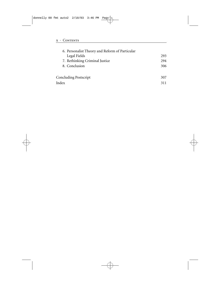### $x \cdot$  Contents

| 6. Personalist Theory and Reform of Particular |     |
|------------------------------------------------|-----|
| Legal Fields                                   | 293 |
| 7. Rethinking Criminal Justice                 | 294 |
| 8. Conclusion                                  | 306 |
|                                                |     |
| Concluding Postscript                          | 307 |
| Index                                          | 311 |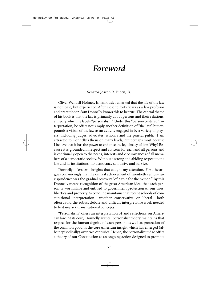## *Foreword*

#### **Senator Joseph R. Biden, Jr.**

Oliver Wendell Holmes, Jr. famously remarked that the life of the law is not logic, but experience. After close to forty years as a law professor and practitioner, Sam Donnelly knows this to be true. The central theme of his book is that the law is primarily about persons and their relations, a theory which he labels "personalism." Under this "person-centered" interpretation, he offers not simply another definition of "the law," but expounds a vision of the law as an activity engaged in by a variety of players, including judges, advocates, scholars and the general public. I am attracted to Donnelly's thesis on many levels, but perhaps most because I believe that it has the power to enhance the legitimacy of law. Why? Because it is grounded in respect and concern for each and all persons and is continually open to the needs, interests and circumstances of all members of a democratic society. Without a strong and abiding respect to the law and its institutions, no democracy can thrive and survive.

Donnelly offers two insights that caught my attention. First, he argues convincingly that the central achievement of twentieth century jurisprudence was the gradual recovery "of a role for the person." By this Donnelly means recognition of the great American ideal that each person is worthwhile and entitled to government protection of our lives, liberties and property. Second, he maintains that recent schools of constitutional interpretation — whether conservative or liberal— both often avoid the robust debate and difficult interpretative work needed to best unpack Constitutional concepts.

"Personalism" offers an interpretation of and reflections on American law. At its core, Donnelly argues, personalist theory maintains that respect for the human dignity of each person, as well as protection of the common good, is the core American insight which has emerged (albeit episodically) over two centuries. Hence, the personalist judge offers a theory of our Constitution as an ongoing action designed to promote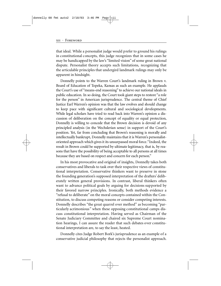#### xii · Foreword

that ideal. While a personalist judge would prefer to ground his rulings in constitutional concepts, this judge recognizes that in some cases he may be handicapped by the law's "limited vision" of some great national dispute. Personalist theory accepts such limitations, recognizing that the articulable principles that undergird landmark rulings may only be apparent in hindsight.

Donnelly points to the Warren Court's landmark ruling in Brown v. Board of Education of Topeka, Kansas as such an example. He applauds the Court's use of "means-end reasoning" to achieve our national ideals in public education. In so doing, the Court took giant steps to restore "a role for the person" in American jurisprudence. The central theme of Chief Justice Earl Warren's opinion was that the law evolves and should change to keep pace with significant cultural and sociological developments. While legal scholars have tried to read back into Warren's opinion a discussion of deliberation on the concept of equality or equal protection, Donnelly is willing to concede that the Brown decision is devoid of any principled analysis (in the Wechslerian sense) in support of the Court's position. Yet, far from concluding that Brown's reasoning is morally and in tellectually bankrupt, Donnelly maintains that it is Warren's personalistoriented approach which gives it its unsurpassed moral force. "Indeed, the re sult in Brown could be supported by ultimate legitimacy, that is, by reasons that have the possibility of being acceptable to all persons at all times because they are based on respect and concern for each person."

In his most provocative and original of insights, Donnelly takes both conservatives and liberals to task over their respective views of constitutional interpretation. Conservative thinkers want to preserve in stone the founding generation's supposed interpretation of the drafters' deliberately written general provisions. In contrast, liberal thinkers often want to advance political goals by arguing for decisions supported by their favored narrow principles. Ironically, both methods evidence a "refusal to deliberate" on the moral concepts contained within the Constitution, to discuss competing reasons or consider competing interests. Donnelly describes "the great quarrel over method" as becoming "particularly acrimonious" when these opposing constitutional camps discuss constitutional interpretation. Having served as Chairman of the Senate Judiciary Committee and chaired six Supreme Court nomination hearings, I can assure the reader that such debates over constitutional interpretation are, to say the least, heated.

Donnelly cites Judge Robert Bork's jurisprudence as an example of a conservative judicial philosophy that rejects the personalist approach.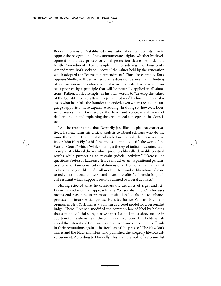Bork's emphasis on "established constitutional values" permits him to oppose the recognition of new unenumerated rights, whether by development of the due process or equal protection clauses or under the Ninth Amendment. For example, in considering the Fourteenth Amendment, Bork seeks to uncover "the values held by the generation which adopted the Fourteenth Amendment." Thus, for example, Bork opposes Shelley v. Kraemer because he does not believe that its finding of state action in the enforcement of a racially-restrictive covenant can be supported by a principle that will be neutrally applied in all situations. Rather, Bork attempts, in his own words, to "develop the values of the Constitution's drafters in a principled way" by limiting his analysis to what he thinks the founder's intended, even where the textual language supports a more expansive reading. In doing so, however, Donnelly argues that Bork avoids the hard and controversial work of deliberating on and explaining the great moral concepts in the Constitution.

Lest the reader think that Donnelly just likes to pick on conservatives, he next turns his critical analysis to liberal scholars who do the same thing in different analytical garb. For example, he criticizes Professor John Hart Ely for his "ingenious attempt to justify the work of the Warren Court," which "while offering a theory of judicial restraint, is an example of a liberal theory which produces liberally desirable political results while purporting to restrain judicial activism." Likewise, he questions Professor Laurence Tribe's model of an "aspirational penumbra" of uncertain constitutional dimensions. Donnelly maintains that Tribe's paradigm, like Ely's, allows him to avoid deliberation of contested constitutional concepts and instead to offer "a formula for judicial restraint which supports results admired by liberal activists."

Having rejected what he considers the extremes of right and left, Donnelly endorses the approach of a "personalist judge" who uses means-end reasoning to promote constitutional goals and to enhance protected primary social goods. He cites Justice William Brennan's opinion in New York Times v. Sullivan as a good model for a personalist judge. There, Brennan modified the common law of libel by holding that a public official suing a newspaper for libel must show malice in addition to the elements of the common law action. This holding balanced the interests of Commissioner Sullivan and other public officials in their reputations against the freedom of the press of The New York Times and the black ministers who published the allegedly libelous advertisement. According to Donnelly, this is an example of a personalist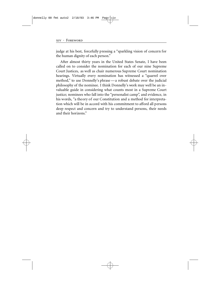#### xiv · Foreword

judge at his best, forcefully pressing a "sparkling vision of concern for the human dignity of each person."

After almost thirty years in the United States Senate, I have been called on to consider the nomination for each of our nine Supreme Court Justices, as well as chair numerous Supreme Court nomination hearings. Virtually every nomination has witnessed a "quarrel over method," to use Donnelly's phrase —a robust debate over the judicial philosophy of the nominee. I think Donnelly's work may well be an invaluable guide in considering what counts most in a Supreme Court justice; nominees who fall into the "personalist camp", and evidence, in his words, "a theory of our Constitution and a method for interpretation which will be in accord with his commitment to afford all persons deep respect and concern and try to understand persons, their needs and their horizons."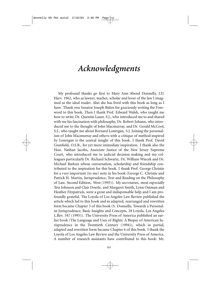## *Acknowledgments*

My profound thanks go first to Mary Ann Abend Donnelly, J.D. Harv. 1962, who as lawyer, teacher, scholar and lover of the law I imagined as the ideal reader. Also she has lived with this book as long as I have. Thank you Senator Joseph Biden for graciously writing the Foreword to this book. Then I thank Prof. Edward Walsh, who taught me how to write; Dr. Quentin Lauer, S.J., who introduced me to and shared with me his fascination with philosophy, Dr. Robert Johann, who introduced me to the thought of John Macmurray, and Dr. Gerald McCool, S.J., who taught me about Bernard Lonergan, S.J. Joining the personalism of John Macmurray and others with a critique of method inspired by Lonergan is the central insight of this book. I thank Prof. David Granfield, O.S.B., for yet more immediate inspiration. I thank also the Hon. Nathan Jacobs, Associate Justice of the New Jersey Supreme Court, who introduced me to judicial decision making and my colleagues particularly Dr. Richard Schwartz, Dr. William Wiecek and Dr. Michael Barkun whose conversation, scholarship and friendship contributed to the inspiration for this book. I thank Prof. George Christie for a very important (to me) note in his book (George C. Christie and Patrick H. Martin, Jurisprudence, Text and Reading on the Philosophy of Law, Second Edition, West (1995)). My secretaries, most especially Teia Johnson and Clair Doerle, and Margaret Smith, Lynn Oatman and Heather Fitzpatrick, were a great and indispensable help and I am profoundly grateful. The Loyola of Los Angeles Law Review published the article which led to this book and in adapted, rearranged and rewritten form became Chapter 3 of this book (S. Donnelly, Towards a Personalist Jurisprudence; Basic Insights and Concepts, 28 Loyola, Los Angeles L.Rev. 547 (1995)). The University Press of America published an earlier book (The Language and Uses of Rights: A Biopsy of American Jurisprudence in the Twentieth Century (1994)), which in partial, adapted and rewritten form became Chapter 6 of this book. I thank the Loyola of Los Angeles Law Review and the University Press of America. A number of research assistants have contributed to this book: Mr.